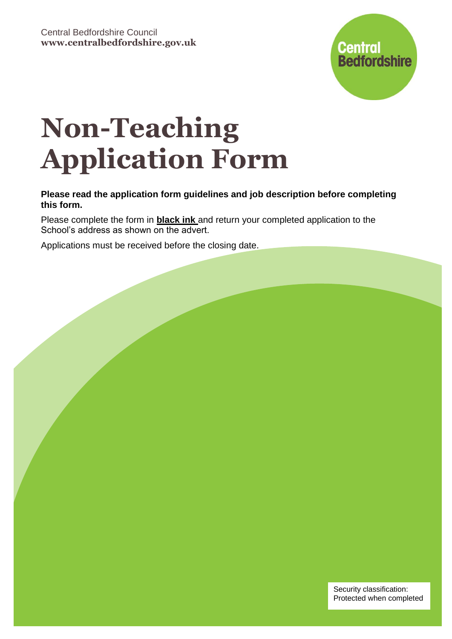

# **Non-Teaching Application Form**

# **Please read the application form guidelines and job description before completing this form.**

Please complete the form in **black ink** and return your completed application to the School's address as shown on the advert.

Applications must be received before the closing date.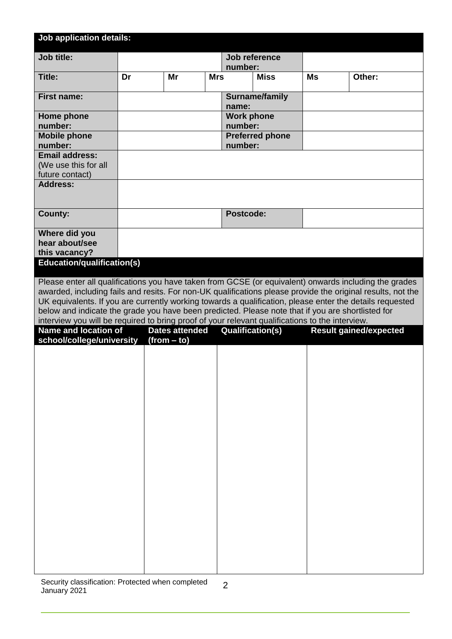| <b>Job application details:</b>                                                                                                                                                                                                                                                                                                                                                                                                                                                                                                          |    |                                        |            |                              |                        |           |                               |  |
|------------------------------------------------------------------------------------------------------------------------------------------------------------------------------------------------------------------------------------------------------------------------------------------------------------------------------------------------------------------------------------------------------------------------------------------------------------------------------------------------------------------------------------------|----|----------------------------------------|------------|------------------------------|------------------------|-----------|-------------------------------|--|
| <b>Job title:</b>                                                                                                                                                                                                                                                                                                                                                                                                                                                                                                                        |    |                                        |            | number:                      | Job reference          |           |                               |  |
| Title:                                                                                                                                                                                                                                                                                                                                                                                                                                                                                                                                   | Dr | Mr                                     | <b>Mrs</b> |                              | <b>Miss</b>            | <b>Ms</b> | Other:                        |  |
| <b>First name:</b>                                                                                                                                                                                                                                                                                                                                                                                                                                                                                                                       |    |                                        |            | name:                        | Surname/family         |           |                               |  |
| Home phone<br>number:                                                                                                                                                                                                                                                                                                                                                                                                                                                                                                                    |    |                                        |            | <b>Work phone</b><br>number: |                        |           |                               |  |
| <b>Mobile phone</b>                                                                                                                                                                                                                                                                                                                                                                                                                                                                                                                      |    |                                        |            |                              | <b>Preferred phone</b> |           |                               |  |
| number:<br><b>Email address:</b><br>(We use this for all<br>future contact)                                                                                                                                                                                                                                                                                                                                                                                                                                                              |    |                                        |            | number:                      |                        |           |                               |  |
| <b>Address:</b>                                                                                                                                                                                                                                                                                                                                                                                                                                                                                                                          |    |                                        |            |                              |                        |           |                               |  |
| <b>County:</b>                                                                                                                                                                                                                                                                                                                                                                                                                                                                                                                           |    |                                        |            | Postcode:                    |                        |           |                               |  |
| Where did you<br>hear about/see<br>this vacancy?                                                                                                                                                                                                                                                                                                                                                                                                                                                                                         |    |                                        |            |                              |                        |           |                               |  |
| Education/qualification(s)                                                                                                                                                                                                                                                                                                                                                                                                                                                                                                               |    |                                        |            |                              |                        |           |                               |  |
| Please enter all qualifications you have taken from GCSE (or equivalent) onwards including the grades<br>awarded, including fails and resits. For non-UK qualifications please provide the original results, not the<br>UK equivalents. If you are currently working towards a qualification, please enter the details requested<br>below and indicate the grade you have been predicted. Please note that if you are shortlisted for<br>interview you will be required to bring proof of your relevant qualifications to the interview. |    |                                        |            |                              |                        |           |                               |  |
| Name and location of<br>school/college/university                                                                                                                                                                                                                                                                                                                                                                                                                                                                                        |    | <b>Dates attended</b><br>$(from - to)$ |            | <b>Qualification(s)</b>      |                        |           | <b>Result gained/expected</b> |  |
|                                                                                                                                                                                                                                                                                                                                                                                                                                                                                                                                          |    |                                        |            |                              |                        |           |                               |  |
|                                                                                                                                                                                                                                                                                                                                                                                                                                                                                                                                          |    |                                        |            |                              |                        |           |                               |  |
|                                                                                                                                                                                                                                                                                                                                                                                                                                                                                                                                          |    |                                        |            |                              |                        |           |                               |  |
|                                                                                                                                                                                                                                                                                                                                                                                                                                                                                                                                          |    |                                        |            |                              |                        |           |                               |  |
|                                                                                                                                                                                                                                                                                                                                                                                                                                                                                                                                          |    |                                        |            |                              |                        |           |                               |  |
|                                                                                                                                                                                                                                                                                                                                                                                                                                                                                                                                          |    |                                        |            |                              |                        |           |                               |  |
|                                                                                                                                                                                                                                                                                                                                                                                                                                                                                                                                          |    |                                        |            |                              |                        |           |                               |  |
|                                                                                                                                                                                                                                                                                                                                                                                                                                                                                                                                          |    |                                        |            |                              |                        |           |                               |  |
|                                                                                                                                                                                                                                                                                                                                                                                                                                                                                                                                          |    |                                        |            |                              |                        |           |                               |  |
|                                                                                                                                                                                                                                                                                                                                                                                                                                                                                                                                          |    |                                        |            |                              |                        |           |                               |  |
|                                                                                                                                                                                                                                                                                                                                                                                                                                                                                                                                          |    |                                        |            |                              |                        |           |                               |  |
|                                                                                                                                                                                                                                                                                                                                                                                                                                                                                                                                          |    |                                        |            |                              |                        |           |                               |  |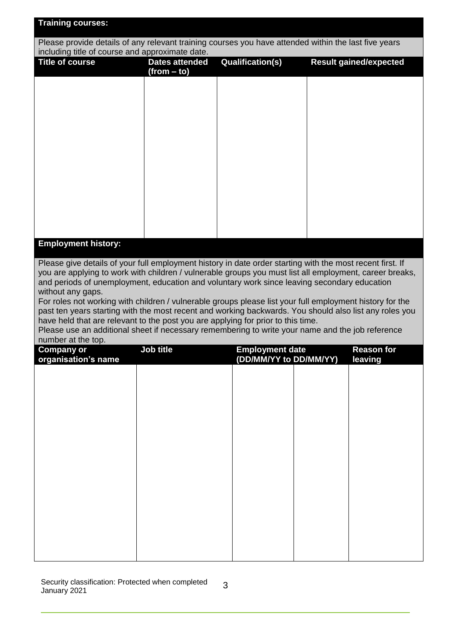| <b>Training courses:</b>                                                                                                                                                                                             |                       |                         |  |                               |  |  |
|----------------------------------------------------------------------------------------------------------------------------------------------------------------------------------------------------------------------|-----------------------|-------------------------|--|-------------------------------|--|--|
| Please provide details of any relevant training courses you have attended within the last five years<br>including title of course and approximate date.                                                              |                       |                         |  |                               |  |  |
| <b>Title of course</b>                                                                                                                                                                                               | <b>Dates attended</b> | <b>Qualification(s)</b> |  | <b>Result gained/expected</b> |  |  |
|                                                                                                                                                                                                                      | (from – to)           |                         |  |                               |  |  |
|                                                                                                                                                                                                                      |                       |                         |  |                               |  |  |
|                                                                                                                                                                                                                      |                       |                         |  |                               |  |  |
|                                                                                                                                                                                                                      |                       |                         |  |                               |  |  |
|                                                                                                                                                                                                                      |                       |                         |  |                               |  |  |
|                                                                                                                                                                                                                      |                       |                         |  |                               |  |  |
|                                                                                                                                                                                                                      |                       |                         |  |                               |  |  |
|                                                                                                                                                                                                                      |                       |                         |  |                               |  |  |
|                                                                                                                                                                                                                      |                       |                         |  |                               |  |  |
|                                                                                                                                                                                                                      |                       |                         |  |                               |  |  |
|                                                                                                                                                                                                                      |                       |                         |  |                               |  |  |
| <b>Employment history:</b>                                                                                                                                                                                           |                       |                         |  |                               |  |  |
|                                                                                                                                                                                                                      |                       |                         |  |                               |  |  |
| Please give details of your full employment history in date order starting with the most recent first. If<br>you are applying to work with children / vulnerable groups you must list all employment, career breaks, |                       |                         |  |                               |  |  |
| and periods of unemployment, education and voluntary work since leaving secondary education<br>without any gaps.                                                                                                     |                       |                         |  |                               |  |  |
| For roles not working with children / vulnerable groups please list your full employment history for the                                                                                                             |                       |                         |  |                               |  |  |
| past ten years starting with the most recent and working backwards. You should also list any roles you<br>have held that are relevant to the post you are applying for prior to this time.                           |                       |                         |  |                               |  |  |
| Please use an additional sheet if necessary remembering to write your name and the job reference                                                                                                                     |                       |                         |  |                               |  |  |
| number at the top.<br><b>Company or</b>                                                                                                                                                                              | Job title             | <b>Employment date</b>  |  | <b>Reason for</b>             |  |  |
| organisation's name                                                                                                                                                                                                  |                       | (DD/MM/YY to DD/MM/YY)  |  | <b>leaving</b>                |  |  |
|                                                                                                                                                                                                                      |                       |                         |  |                               |  |  |
|                                                                                                                                                                                                                      |                       |                         |  |                               |  |  |
|                                                                                                                                                                                                                      |                       |                         |  |                               |  |  |
|                                                                                                                                                                                                                      |                       |                         |  |                               |  |  |
|                                                                                                                                                                                                                      |                       |                         |  |                               |  |  |
|                                                                                                                                                                                                                      |                       |                         |  |                               |  |  |
|                                                                                                                                                                                                                      |                       |                         |  |                               |  |  |
|                                                                                                                                                                                                                      |                       |                         |  |                               |  |  |
|                                                                                                                                                                                                                      |                       |                         |  |                               |  |  |
|                                                                                                                                                                                                                      |                       |                         |  |                               |  |  |
|                                                                                                                                                                                                                      |                       |                         |  |                               |  |  |
|                                                                                                                                                                                                                      |                       |                         |  |                               |  |  |
|                                                                                                                                                                                                                      |                       |                         |  |                               |  |  |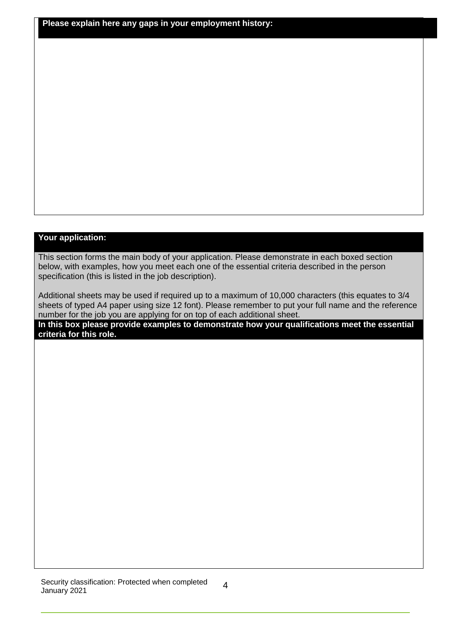**Please explain here any gaps in your employment history:**

### **Your application:**

This section forms the main body of your application. Please demonstrate in each boxed section below, with examples, how you meet each one of the essential criteria described in the person specification (this is listed in the job description).

Additional sheets may be used if required up to a maximum of 10,000 characters (this equates to 3/4 sheets of typed A4 paper using size 12 font). Please remember to put your full name and the reference number for the job you are applying for on top of each additional sheet.

**In this box please provide examples to demonstrate how your qualifications meet the essential criteria for this role.**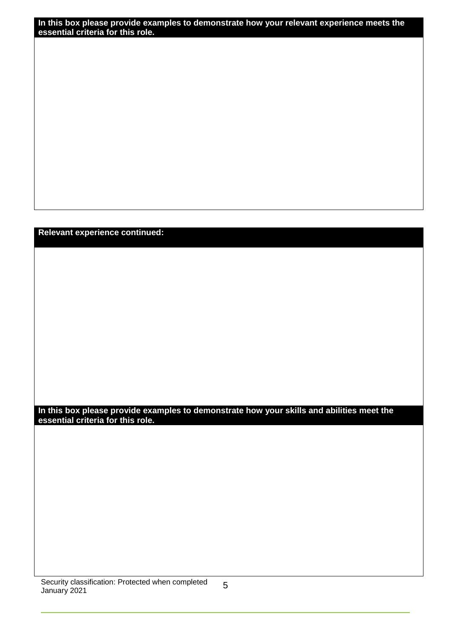**In this box please provide examples to demonstrate how your relevant experience meets the essential criteria for this role.**

**Relevant experience continued:**

**In this box please provide examples to demonstrate how your skills and abilities meet the essential criteria for this role.**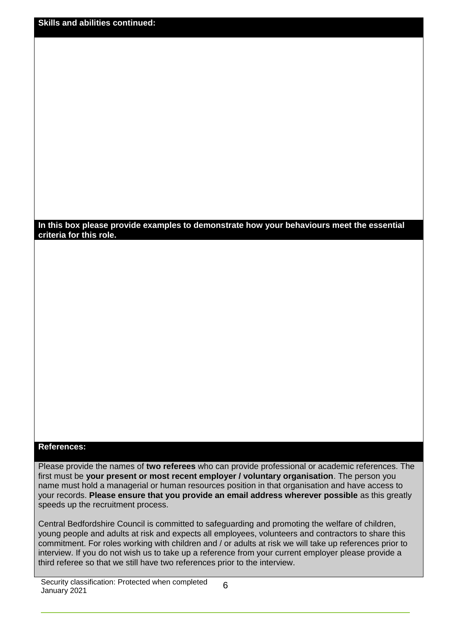| <b>Skills and abilities continued:</b> |  |
|----------------------------------------|--|
|                                        |  |

#### **In this box please provide examples to demonstrate how your behaviours meet the essential criteria for this role.**

# **References:**

Please provide the names of **two referees** who can provide professional or academic references. The first must be **your present or most recent employer / voluntary organisation**. The person you name must hold a managerial or human resources position in that organisation and have access to your records. **Please ensure that you provide an email address wherever possible** as this greatly speeds up the recruitment process.

Central Bedfordshire Council is committed to safeguarding and promoting the welfare of children, young people and adults at risk and expects all employees, volunteers and contractors to share this commitment. For roles working with children and / or adults at risk we will take up references prior to interview. If you do not wish us to take up a reference from your current employer please provide a third referee so that we still have two references prior to the interview.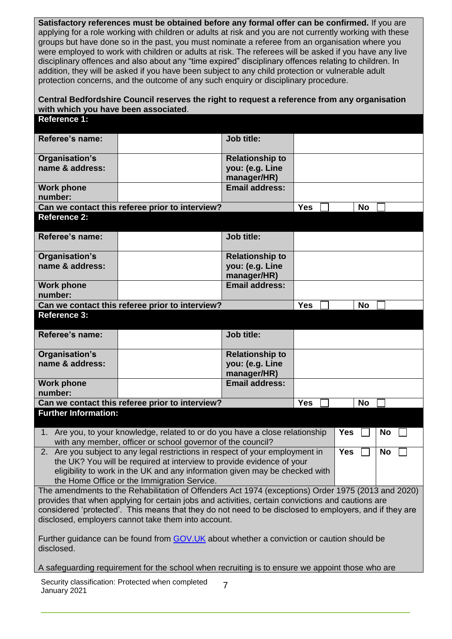**Satisfactory references must be obtained before any formal offer can be confirmed.** If you are applying for a role working with children or adults at risk and you are not currently working with these groups but have done so in the past, you must nominate a referee from an organisation where you were employed to work with children or adults at risk. The referees will be asked if you have any live disciplinary offences and also about any "time expired" disciplinary offences relating to children. In addition, they will be asked if you have been subject to any child protection or vulnerable adult protection concerns, and the outcome of any such enquiry or disciplinary procedure.

# **Central Bedfordshire Council reserves the right to request a reference from any organisation with which you have been associated**.

| <b>Reference 1:</b>                                                                                                                                           |                                      |            |           |  |  |
|---------------------------------------------------------------------------------------------------------------------------------------------------------------|--------------------------------------|------------|-----------|--|--|
| Referee's name:                                                                                                                                               | <b>Job title:</b>                    |            |           |  |  |
| Organisation's                                                                                                                                                | <b>Relationship to</b>               |            |           |  |  |
| name & address:                                                                                                                                               | you: (e.g. Line                      |            |           |  |  |
| <b>Work phone</b>                                                                                                                                             | manager/HR)<br><b>Email address:</b> |            |           |  |  |
| number:                                                                                                                                                       |                                      |            |           |  |  |
| Can we contact this referee prior to interview?                                                                                                               |                                      | Yes        | <b>No</b> |  |  |
| <b>Reference 2:</b>                                                                                                                                           |                                      |            |           |  |  |
| Referee's name:                                                                                                                                               | <b>Job title:</b>                    |            |           |  |  |
| Organisation's                                                                                                                                                | <b>Relationship to</b>               |            |           |  |  |
| name & address:                                                                                                                                               | you: (e.g. Line                      |            |           |  |  |
| <b>Work phone</b>                                                                                                                                             | manager/HR)<br><b>Email address:</b> |            |           |  |  |
| number:                                                                                                                                                       |                                      |            |           |  |  |
| Can we contact this referee prior to interview?                                                                                                               |                                      | <b>Yes</b> | <b>No</b> |  |  |
| <b>Reference 3:</b>                                                                                                                                           |                                      |            |           |  |  |
| Referee's name:                                                                                                                                               | Job title:                           |            |           |  |  |
|                                                                                                                                                               |                                      |            |           |  |  |
| Organisation's                                                                                                                                                | <b>Relationship to</b>               |            |           |  |  |
| name & address:                                                                                                                                               | you: (e.g. Line                      |            |           |  |  |
| <b>Work phone</b>                                                                                                                                             | manager/HR)<br><b>Email address:</b> |            |           |  |  |
| number:                                                                                                                                                       |                                      |            |           |  |  |
| Can we contact this referee prior to interview?                                                                                                               |                                      | <b>Yes</b> | <b>No</b> |  |  |
| <b>Further Information:</b>                                                                                                                                   |                                      |            |           |  |  |
| 1. Are you, to your knowledge, related to or do you have a close relationship<br><b>Yes</b><br><b>No</b>                                                      |                                      |            |           |  |  |
| with any member, officer or school governor of the council?                                                                                                   |                                      |            |           |  |  |
| 2. Are you subject to any legal restrictions in respect of your employment in<br><b>Yes</b><br><b>No</b>                                                      |                                      |            |           |  |  |
| the UK? You will be required at interview to provide evidence of your                                                                                         |                                      |            |           |  |  |
| eligibility to work in the UK and any information given may be checked with<br>the Home Office or the Immigration Service.                                    |                                      |            |           |  |  |
| The amendments to the Rehabilitation of Offenders Act 1974 (exceptions) Order 1975 (2013 and 2020)                                                            |                                      |            |           |  |  |
| provides that when applying for certain jobs and activities, certain convictions and cautions are                                                             |                                      |            |           |  |  |
| considered 'protected'. This means that they do not need to be disclosed to employers, and if they are<br>disclosed, employers cannot take them into account. |                                      |            |           |  |  |
|                                                                                                                                                               |                                      |            |           |  |  |
| Further guidance can be found from GOV.UK about whether a conviction or caution should be<br>disclosed.                                                       |                                      |            |           |  |  |
| A safeguarding requirement for the school when recruiting is to ensure we appoint those who are                                                               |                                      |            |           |  |  |